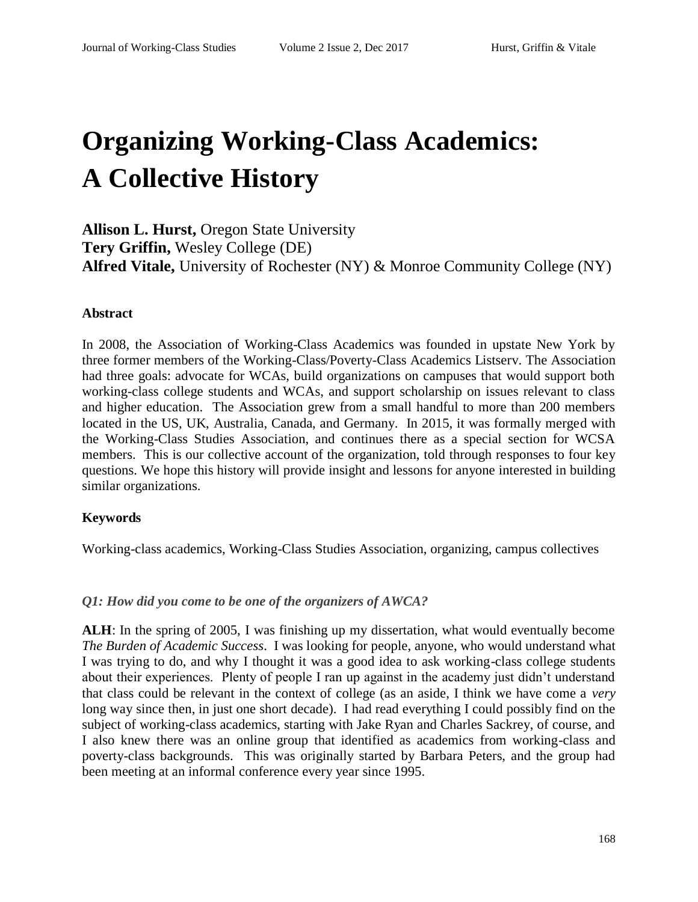# **Organizing Working-Class Academics: A Collective History**

**Allison L. Hurst,** Oregon State University **Tery Griffin,** Wesley College (DE) **Alfred Vitale,** University of Rochester (NY) & Monroe Community College (NY)

## **Abstract**

In 2008, the Association of Working-Class Academics was founded in upstate New York by three former members of the Working-Class/Poverty-Class Academics Listserv. The Association had three goals: advocate for WCAs, build organizations on campuses that would support both working-class college students and WCAs, and support scholarship on issues relevant to class and higher education. The Association grew from a small handful to more than 200 members located in the US, UK, Australia, Canada, and Germany. In 2015, it was formally merged with the Working-Class Studies Association, and continues there as a special section for WCSA members. This is our collective account of the organization, told through responses to four key questions. We hope this history will provide insight and lessons for anyone interested in building similar organizations.

#### **Keywords**

Working-class academics, Working-Class Studies Association, organizing, campus collectives

#### *Q1: How did you come to be one of the organizers of AWCA?*

**ALH**: In the spring of 2005, I was finishing up my dissertation, what would eventually become *The Burden of Academic Success*. I was looking for people, anyone, who would understand what I was trying to do, and why I thought it was a good idea to ask working-class college students about their experiences. Plenty of people I ran up against in the academy just didn't understand that class could be relevant in the context of college (as an aside, I think we have come a *very* long way since then, in just one short decade). I had read everything I could possibly find on the subject of working-class academics, starting with Jake Ryan and Charles Sackrey, of course, and I also knew there was an online group that identified as academics from working-class and poverty-class backgrounds. This was originally started by Barbara Peters, and the group had been meeting at an informal conference every year since 1995.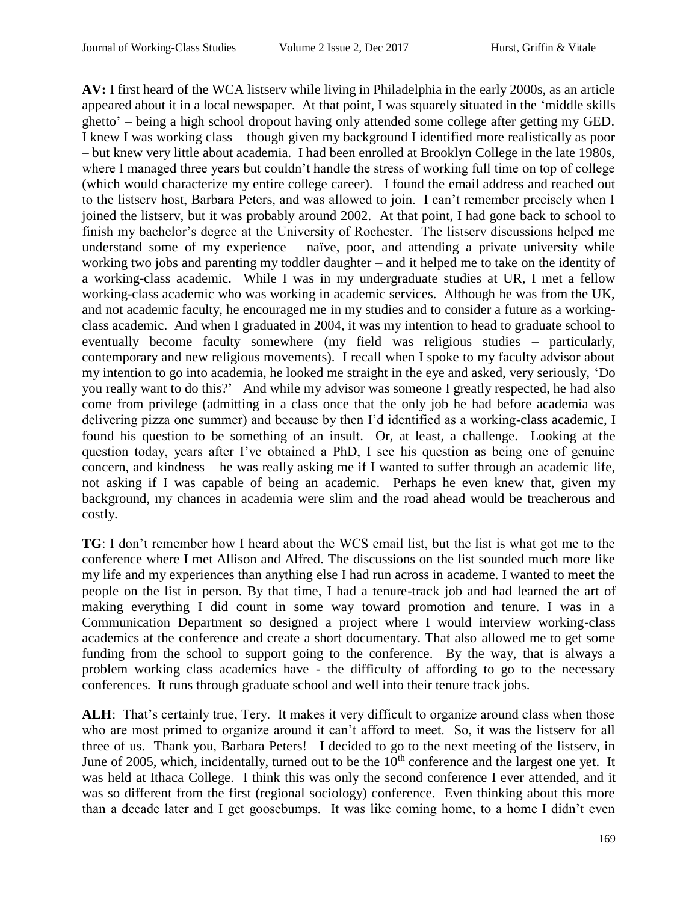**AV:** I first heard of the WCA listserv while living in Philadelphia in the early 2000s, as an article appeared about it in a local newspaper. At that point, I was squarely situated in the 'middle skills ghetto' – being a high school dropout having only attended some college after getting my GED. I knew I was working class – though given my background I identified more realistically as poor – but knew very little about academia. I had been enrolled at Brooklyn College in the late 1980s, where I managed three years but couldn't handle the stress of working full time on top of college (which would characterize my entire college career). I found the email address and reached out to the listserv host, Barbara Peters, and was allowed to join. I can't remember precisely when I joined the listserv, but it was probably around 2002. At that point, I had gone back to school to finish my bachelor's degree at the University of Rochester. The listserv discussions helped me understand some of my experience – naïve, poor, and attending a private university while working two jobs and parenting my toddler daughter – and it helped me to take on the identity of a working-class academic. While I was in my undergraduate studies at UR, I met a fellow working-class academic who was working in academic services. Although he was from the UK, and not academic faculty, he encouraged me in my studies and to consider a future as a workingclass academic. And when I graduated in 2004, it was my intention to head to graduate school to eventually become faculty somewhere (my field was religious studies – particularly, contemporary and new religious movements). I recall when I spoke to my faculty advisor about my intention to go into academia, he looked me straight in the eye and asked, very seriously, 'Do you really want to do this?' And while my advisor was someone I greatly respected, he had also come from privilege (admitting in a class once that the only job he had before academia was delivering pizza one summer) and because by then I'd identified as a working-class academic, I found his question to be something of an insult. Or, at least, a challenge. Looking at the question today, years after I've obtained a PhD, I see his question as being one of genuine concern, and kindness – he was really asking me if I wanted to suffer through an academic life, not asking if I was capable of being an academic. Perhaps he even knew that, given my background, my chances in academia were slim and the road ahead would be treacherous and costly.

**TG**: I don't remember how I heard about the WCS email list, but the list is what got me to the conference where I met Allison and Alfred. The discussions on the list sounded much more like my life and my experiences than anything else I had run across in academe. I wanted to meet the people on the list in person. By that time, I had a tenure-track job and had learned the art of making everything I did count in some way toward promotion and tenure. I was in a Communication Department so designed a project where I would interview working-class academics at the conference and create a short documentary. That also allowed me to get some funding from the school to support going to the conference. By the way, that is always a problem working class academics have - the difficulty of affording to go to the necessary conferences. It runs through graduate school and well into their tenure track jobs.

**ALH**: That's certainly true, Tery. It makes it very difficult to organize around class when those who are most primed to organize around it can't afford to meet. So, it was the listserv for all three of us. Thank you, Barbara Peters! I decided to go to the next meeting of the listserv, in June of 2005, which, incidentally, turned out to be the  $10<sup>th</sup>$  conference and the largest one yet. It was held at Ithaca College. I think this was only the second conference I ever attended, and it was so different from the first (regional sociology) conference. Even thinking about this more than a decade later and I get goosebumps. It was like coming home, to a home I didn't even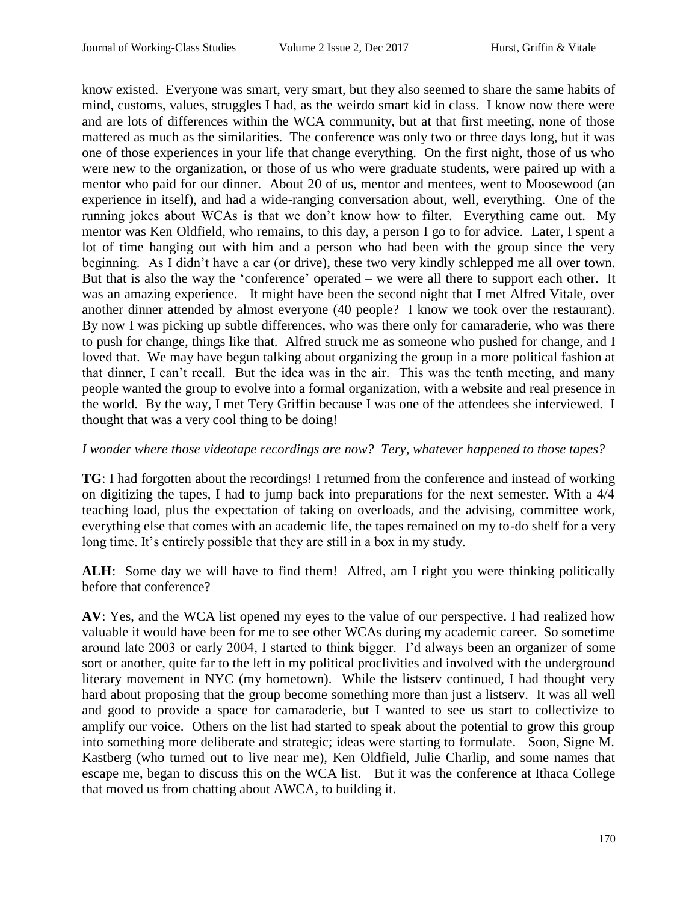know existed. Everyone was smart, very smart, but they also seemed to share the same habits of mind, customs, values, struggles I had, as the weirdo smart kid in class. I know now there were and are lots of differences within the WCA community, but at that first meeting, none of those mattered as much as the similarities. The conference was only two or three days long, but it was one of those experiences in your life that change everything. On the first night, those of us who were new to the organization, or those of us who were graduate students, were paired up with a mentor who paid for our dinner. About 20 of us, mentor and mentees, went to Moosewood (an experience in itself), and had a wide-ranging conversation about, well, everything. One of the running jokes about WCAs is that we don't know how to filter. Everything came out. My mentor was Ken Oldfield, who remains, to this day, a person I go to for advice. Later, I spent a lot of time hanging out with him and a person who had been with the group since the very beginning. As I didn't have a car (or drive), these two very kindly schlepped me all over town. But that is also the way the 'conference' operated – we were all there to support each other. It was an amazing experience. It might have been the second night that I met Alfred Vitale, over another dinner attended by almost everyone (40 people? I know we took over the restaurant). By now I was picking up subtle differences, who was there only for camaraderie, who was there to push for change, things like that. Alfred struck me as someone who pushed for change, and I loved that. We may have begun talking about organizing the group in a more political fashion at that dinner, I can't recall. But the idea was in the air. This was the tenth meeting, and many people wanted the group to evolve into a formal organization, with a website and real presence in the world. By the way, I met Tery Griffin because I was one of the attendees she interviewed. I thought that was a very cool thing to be doing!

#### *I wonder where those videotape recordings are now? Tery, whatever happened to those tapes?*

**TG**: I had forgotten about the recordings! I returned from the conference and instead of working on digitizing the tapes, I had to jump back into preparations for the next semester. With a 4/4 teaching load, plus the expectation of taking on overloads, and the advising, committee work, everything else that comes with an academic life, the tapes remained on my to-do shelf for a very long time. It's entirely possible that they are still in a box in my study.

**ALH**: Some day we will have to find them! Alfred, am I right you were thinking politically before that conference?

**AV**: Yes, and the WCA list opened my eyes to the value of our perspective. I had realized how valuable it would have been for me to see other WCAs during my academic career. So sometime around late 2003 or early 2004, I started to think bigger. I'd always been an organizer of some sort or another, quite far to the left in my political proclivities and involved with the underground literary movement in NYC (my hometown). While the listserv continued, I had thought very hard about proposing that the group become something more than just a listserv. It was all well and good to provide a space for camaraderie, but I wanted to see us start to collectivize to amplify our voice. Others on the list had started to speak about the potential to grow this group into something more deliberate and strategic; ideas were starting to formulate. Soon, Signe M. Kastberg (who turned out to live near me), Ken Oldfield, Julie Charlip, and some names that escape me, began to discuss this on the WCA list. But it was the conference at Ithaca College that moved us from chatting about AWCA, to building it.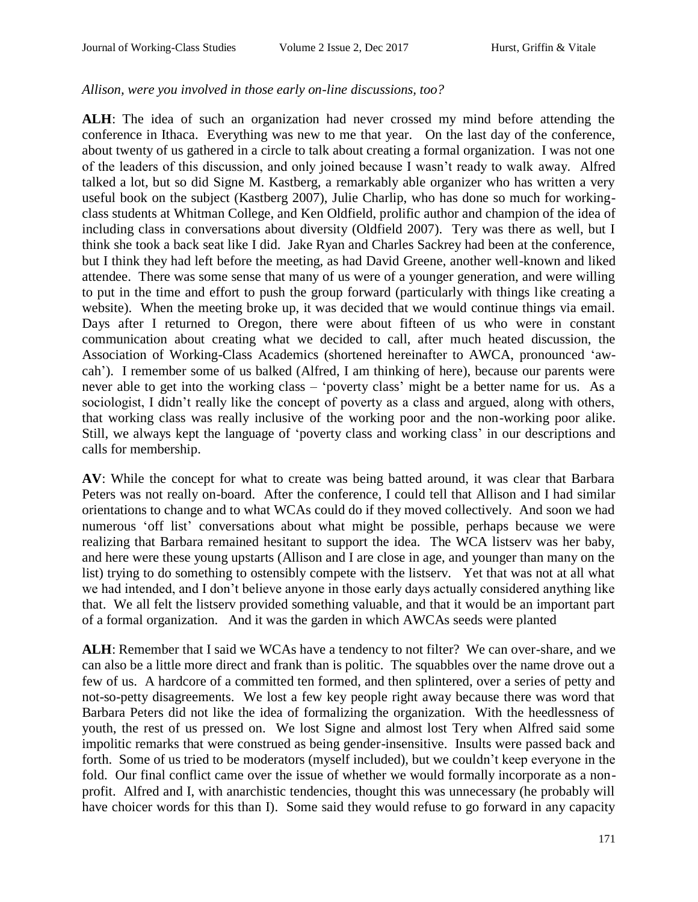#### *Allison, were you involved in those early on-line discussions, too?*

**ALH**: The idea of such an organization had never crossed my mind before attending the conference in Ithaca. Everything was new to me that year. On the last day of the conference, about twenty of us gathered in a circle to talk about creating a formal organization. I was not one of the leaders of this discussion, and only joined because I wasn't ready to walk away. Alfred talked a lot, but so did Signe M. Kastberg, a remarkably able organizer who has written a very useful book on the subject (Kastberg 2007), Julie Charlip, who has done so much for workingclass students at Whitman College, and Ken Oldfield, prolific author and champion of the idea of including class in conversations about diversity (Oldfield 2007). Tery was there as well, but I think she took a back seat like I did. Jake Ryan and Charles Sackrey had been at the conference, but I think they had left before the meeting, as had David Greene, another well-known and liked attendee. There was some sense that many of us were of a younger generation, and were willing to put in the time and effort to push the group forward (particularly with things like creating a website). When the meeting broke up, it was decided that we would continue things via email. Days after I returned to Oregon, there were about fifteen of us who were in constant communication about creating what we decided to call, after much heated discussion, the Association of Working-Class Academics (shortened hereinafter to AWCA, pronounced 'awcah'). I remember some of us balked (Alfred, I am thinking of here), because our parents were never able to get into the working class – 'poverty class' might be a better name for us. As a sociologist, I didn't really like the concept of poverty as a class and argued, along with others, that working class was really inclusive of the working poor and the non-working poor alike. Still, we always kept the language of 'poverty class and working class' in our descriptions and calls for membership.

**AV**: While the concept for what to create was being batted around, it was clear that Barbara Peters was not really on-board. After the conference, I could tell that Allison and I had similar orientations to change and to what WCAs could do if they moved collectively. And soon we had numerous 'off list' conversations about what might be possible, perhaps because we were realizing that Barbara remained hesitant to support the idea. The WCA listserv was her baby, and here were these young upstarts (Allison and I are close in age, and younger than many on the list) trying to do something to ostensibly compete with the listserv. Yet that was not at all what we had intended, and I don't believe anyone in those early days actually considered anything like that. We all felt the listserv provided something valuable, and that it would be an important part of a formal organization. And it was the garden in which AWCAs seeds were planted

**ALH**: Remember that I said we WCAs have a tendency to not filter? We can over-share, and we can also be a little more direct and frank than is politic. The squabbles over the name drove out a few of us. A hardcore of a committed ten formed, and then splintered, over a series of petty and not-so-petty disagreements. We lost a few key people right away because there was word that Barbara Peters did not like the idea of formalizing the organization. With the heedlessness of youth, the rest of us pressed on. We lost Signe and almost lost Tery when Alfred said some impolitic remarks that were construed as being gender-insensitive. Insults were passed back and forth. Some of us tried to be moderators (myself included), but we couldn't keep everyone in the fold. Our final conflict came over the issue of whether we would formally incorporate as a nonprofit. Alfred and I, with anarchistic tendencies, thought this was unnecessary (he probably will have choicer words for this than I). Some said they would refuse to go forward in any capacity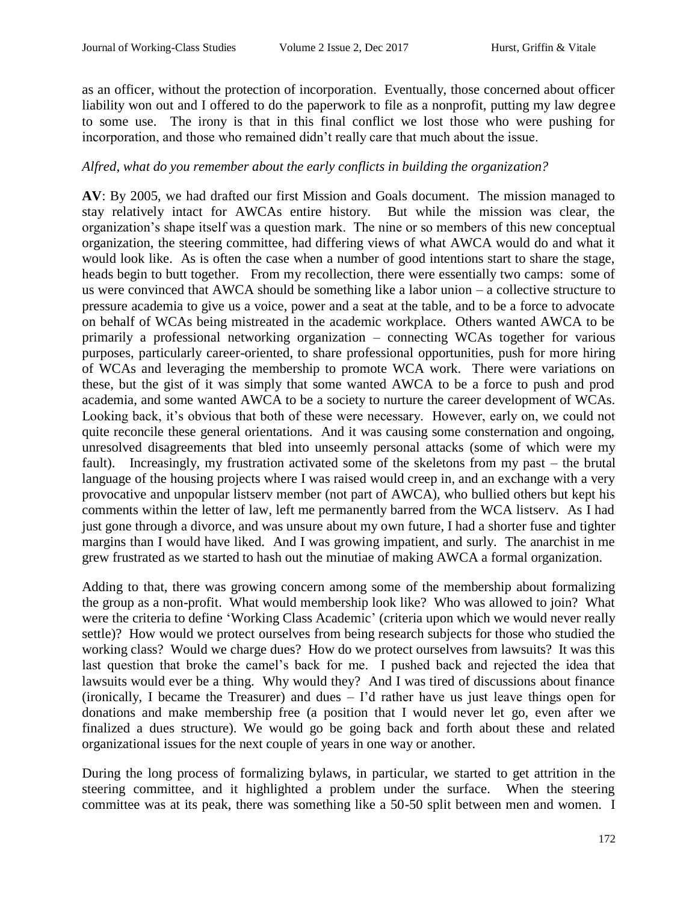as an officer, without the protection of incorporation. Eventually, those concerned about officer liability won out and I offered to do the paperwork to file as a nonprofit, putting my law degree to some use. The irony is that in this final conflict we lost those who were pushing for incorporation, and those who remained didn't really care that much about the issue.

## *Alfred, what do you remember about the early conflicts in building the organization?*

**AV**: By 2005, we had drafted our first Mission and Goals document. The mission managed to stay relatively intact for AWCAs entire history. But while the mission was clear, the organization's shape itself was a question mark. The nine or so members of this new conceptual organization, the steering committee, had differing views of what AWCA would do and what it would look like. As is often the case when a number of good intentions start to share the stage, heads begin to butt together. From my recollection, there were essentially two camps: some of us were convinced that AWCA should be something like a labor union – a collective structure to pressure academia to give us a voice, power and a seat at the table, and to be a force to advocate on behalf of WCAs being mistreated in the academic workplace. Others wanted AWCA to be primarily a professional networking organization – connecting WCAs together for various purposes, particularly career-oriented, to share professional opportunities, push for more hiring of WCAs and leveraging the membership to promote WCA work. There were variations on these, but the gist of it was simply that some wanted AWCA to be a force to push and prod academia, and some wanted AWCA to be a society to nurture the career development of WCAs. Looking back, it's obvious that both of these were necessary. However, early on, we could not quite reconcile these general orientations. And it was causing some consternation and ongoing, unresolved disagreements that bled into unseemly personal attacks (some of which were my fault). Increasingly, my frustration activated some of the skeletons from my past – the brutal language of the housing projects where I was raised would creep in, and an exchange with a very provocative and unpopular listserv member (not part of AWCA), who bullied others but kept his comments within the letter of law, left me permanently barred from the WCA listserv. As I had just gone through a divorce, and was unsure about my own future, I had a shorter fuse and tighter margins than I would have liked. And I was growing impatient, and surly. The anarchist in me grew frustrated as we started to hash out the minutiae of making AWCA a formal organization.

Adding to that, there was growing concern among some of the membership about formalizing the group as a non-profit. What would membership look like? Who was allowed to join? What were the criteria to define 'Working Class Academic' (criteria upon which we would never really settle)? How would we protect ourselves from being research subjects for those who studied the working class? Would we charge dues? How do we protect ourselves from lawsuits? It was this last question that broke the camel's back for me. I pushed back and rejected the idea that lawsuits would ever be a thing. Why would they? And I was tired of discussions about finance (ironically, I became the Treasurer) and dues – I'd rather have us just leave things open for donations and make membership free (a position that I would never let go, even after we finalized a dues structure). We would go be going back and forth about these and related organizational issues for the next couple of years in one way or another.

During the long process of formalizing bylaws, in particular, we started to get attrition in the steering committee, and it highlighted a problem under the surface. When the steering committee was at its peak, there was something like a 50-50 split between men and women. I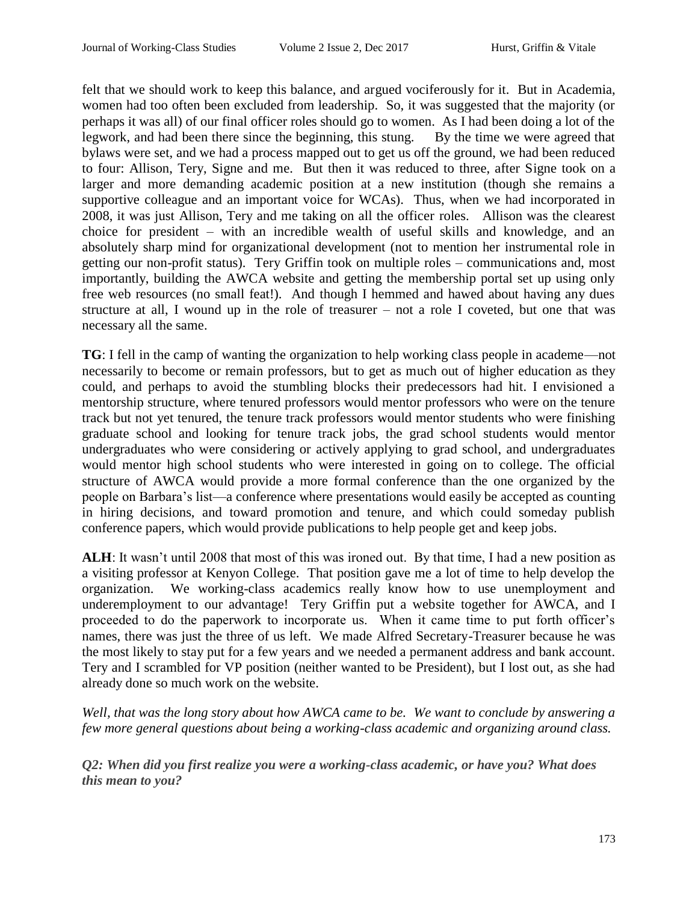felt that we should work to keep this balance, and argued vociferously for it. But in Academia, women had too often been excluded from leadership. So, it was suggested that the majority (or perhaps it was all) of our final officer roles should go to women. As I had been doing a lot of the legwork, and had been there since the beginning, this stung. By the time we were agreed that bylaws were set, and we had a process mapped out to get us off the ground, we had been reduced to four: Allison, Tery, Signe and me. But then it was reduced to three, after Signe took on a larger and more demanding academic position at a new institution (though she remains a supportive colleague and an important voice for WCAs). Thus, when we had incorporated in 2008, it was just Allison, Tery and me taking on all the officer roles. Allison was the clearest choice for president – with an incredible wealth of useful skills and knowledge, and an absolutely sharp mind for organizational development (not to mention her instrumental role in getting our non-profit status). Tery Griffin took on multiple roles – communications and, most importantly, building the AWCA website and getting the membership portal set up using only free web resources (no small feat!). And though I hemmed and hawed about having any dues structure at all, I wound up in the role of treasurer – not a role I coveted, but one that was necessary all the same.

**TG**: I fell in the camp of wanting the organization to help working class people in academe—not necessarily to become or remain professors, but to get as much out of higher education as they could, and perhaps to avoid the stumbling blocks their predecessors had hit. I envisioned a mentorship structure, where tenured professors would mentor professors who were on the tenure track but not yet tenured, the tenure track professors would mentor students who were finishing graduate school and looking for tenure track jobs, the grad school students would mentor undergraduates who were considering or actively applying to grad school, and undergraduates would mentor high school students who were interested in going on to college. The official structure of AWCA would provide a more formal conference than the one organized by the people on Barbara's list—a conference where presentations would easily be accepted as counting in hiring decisions, and toward promotion and tenure, and which could someday publish conference papers, which would provide publications to help people get and keep jobs.

**ALH**: It wasn't until 2008 that most of this was ironed out. By that time, I had a new position as a visiting professor at Kenyon College. That position gave me a lot of time to help develop the organization. We working-class academics really know how to use unemployment and underemployment to our advantage! Tery Griffin put a website together for AWCA, and I proceeded to do the paperwork to incorporate us. When it came time to put forth officer's names, there was just the three of us left. We made Alfred Secretary-Treasurer because he was the most likely to stay put for a few years and we needed a permanent address and bank account. Tery and I scrambled for VP position (neither wanted to be President), but I lost out, as she had already done so much work on the website.

*Well, that was the long story about how AWCA came to be. We want to conclude by answering a few more general questions about being a working-class academic and organizing around class.*

*Q2: When did you first realize you were a working-class academic, or have you? What does this mean to you?*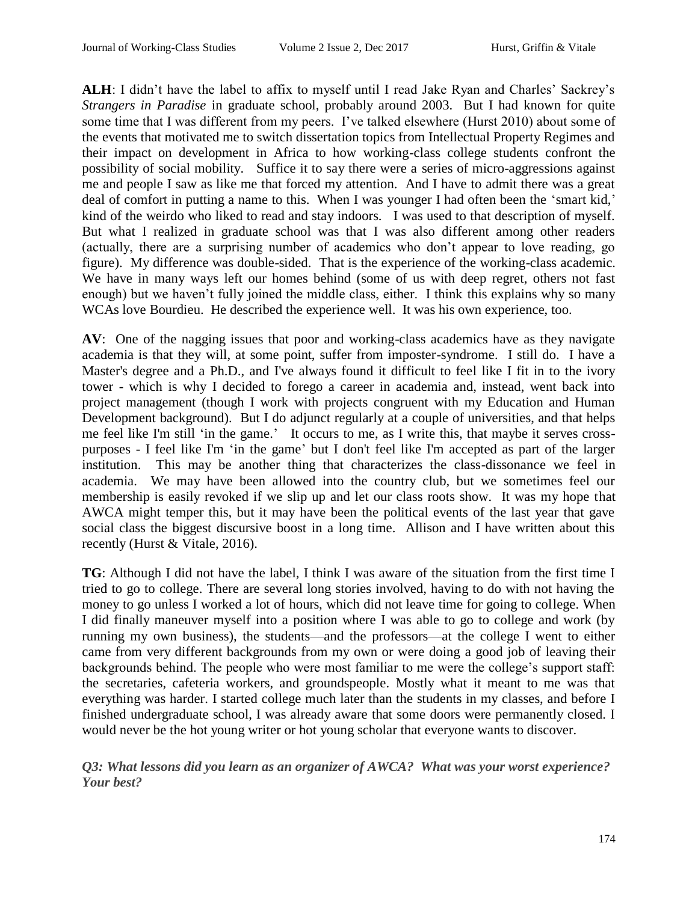**ALH**: I didn't have the label to affix to myself until I read Jake Ryan and Charles' Sackrey's *Strangers in Paradise* in graduate school, probably around 2003. But I had known for quite some time that I was different from my peers. I've talked elsewhere (Hurst 2010) about some of the events that motivated me to switch dissertation topics from Intellectual Property Regimes and their impact on development in Africa to how working-class college students confront the possibility of social mobility. Suffice it to say there were a series of micro-aggressions against me and people I saw as like me that forced my attention. And I have to admit there was a great deal of comfort in putting a name to this. When I was younger I had often been the 'smart kid,' kind of the weirdo who liked to read and stay indoors. I was used to that description of myself. But what I realized in graduate school was that I was also different among other readers (actually, there are a surprising number of academics who don't appear to love reading, go figure). My difference was double-sided. That is the experience of the working-class academic. We have in many ways left our homes behind (some of us with deep regret, others not fast enough) but we haven't fully joined the middle class, either. I think this explains why so many WCAs love Bourdieu. He described the experience well. It was his own experience, too.

**AV**: One of the nagging issues that poor and working-class academics have as they navigate academia is that they will, at some point, suffer from imposter-syndrome. I still do. I have a Master's degree and a Ph.D., and I've always found it difficult to feel like I fit in to the ivory tower - which is why I decided to forego a career in academia and, instead, went back into project management (though I work with projects congruent with my Education and Human Development background). But I do adjunct regularly at a couple of universities, and that helps me feel like I'm still 'in the game.' It occurs to me, as I write this, that maybe it serves crosspurposes - I feel like I'm 'in the game' but I don't feel like I'm accepted as part of the larger institution. This may be another thing that characterizes the class-dissonance we feel in academia. We may have been allowed into the country club, but we sometimes feel our membership is easily revoked if we slip up and let our class roots show. It was my hope that AWCA might temper this, but it may have been the political events of the last year that gave social class the biggest discursive boost in a long time. Allison and I have written about this recently (Hurst & Vitale, 2016).

**TG**: Although I did not have the label, I think I was aware of the situation from the first time I tried to go to college. There are several long stories involved, having to do with not having the money to go unless I worked a lot of hours, which did not leave time for going to college. When I did finally maneuver myself into a position where I was able to go to college and work (by running my own business), the students—and the professors—at the college I went to either came from very different backgrounds from my own or were doing a good job of leaving their backgrounds behind. The people who were most familiar to me were the college's support staff: the secretaries, cafeteria workers, and groundspeople. Mostly what it meant to me was that everything was harder. I started college much later than the students in my classes, and before I finished undergraduate school, I was already aware that some doors were permanently closed. I would never be the hot young writer or hot young scholar that everyone wants to discover.

*Q3: What lessons did you learn as an organizer of AWCA? What was your worst experience? Your best?*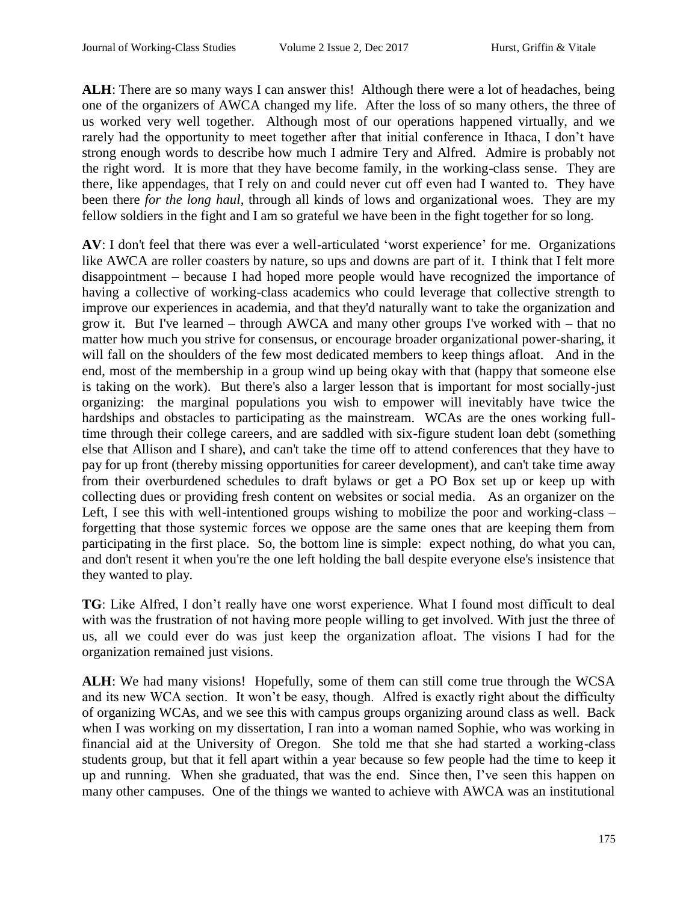**ALH**: There are so many ways I can answer this! Although there were a lot of headaches, being one of the organizers of AWCA changed my life. After the loss of so many others, the three of us worked very well together. Although most of our operations happened virtually, and we rarely had the opportunity to meet together after that initial conference in Ithaca, I don't have strong enough words to describe how much I admire Tery and Alfred. Admire is probably not the right word. It is more that they have become family, in the working-class sense. They are there, like appendages, that I rely on and could never cut off even had I wanted to. They have been there *for the long haul*, through all kinds of lows and organizational woes. They are my fellow soldiers in the fight and I am so grateful we have been in the fight together for so long.

**AV**: I don't feel that there was ever a well-articulated 'worst experience' for me. Organizations like AWCA are roller coasters by nature, so ups and downs are part of it. I think that I felt more disappointment – because I had hoped more people would have recognized the importance of having a collective of working-class academics who could leverage that collective strength to improve our experiences in academia, and that they'd naturally want to take the organization and grow it. But I've learned – through AWCA and many other groups I've worked with – that no matter how much you strive for consensus, or encourage broader organizational power-sharing, it will fall on the shoulders of the few most dedicated members to keep things afloat. And in the end, most of the membership in a group wind up being okay with that (happy that someone else is taking on the work). But there's also a larger lesson that is important for most socially-just organizing: the marginal populations you wish to empower will inevitably have twice the hardships and obstacles to participating as the mainstream. WCAs are the ones working fulltime through their college careers, and are saddled with six-figure student loan debt (something else that Allison and I share), and can't take the time off to attend conferences that they have to pay for up front (thereby missing opportunities for career development), and can't take time away from their overburdened schedules to draft bylaws or get a PO Box set up or keep up with collecting dues or providing fresh content on websites or social media. As an organizer on the Left, I see this with well-intentioned groups wishing to mobilize the poor and working-class – forgetting that those systemic forces we oppose are the same ones that are keeping them from participating in the first place. So, the bottom line is simple: expect nothing, do what you can, and don't resent it when you're the one left holding the ball despite everyone else's insistence that they wanted to play.

**TG**: Like Alfred, I don't really have one worst experience. What I found most difficult to deal with was the frustration of not having more people willing to get involved. With just the three of us, all we could ever do was just keep the organization afloat. The visions I had for the organization remained just visions.

**ALH**: We had many visions! Hopefully, some of them can still come true through the WCSA and its new WCA section. It won't be easy, though. Alfred is exactly right about the difficulty of organizing WCAs, and we see this with campus groups organizing around class as well. Back when I was working on my dissertation, I ran into a woman named Sophie, who was working in financial aid at the University of Oregon. She told me that she had started a working-class students group, but that it fell apart within a year because so few people had the time to keep it up and running. When she graduated, that was the end. Since then, I've seen this happen on many other campuses. One of the things we wanted to achieve with AWCA was an institutional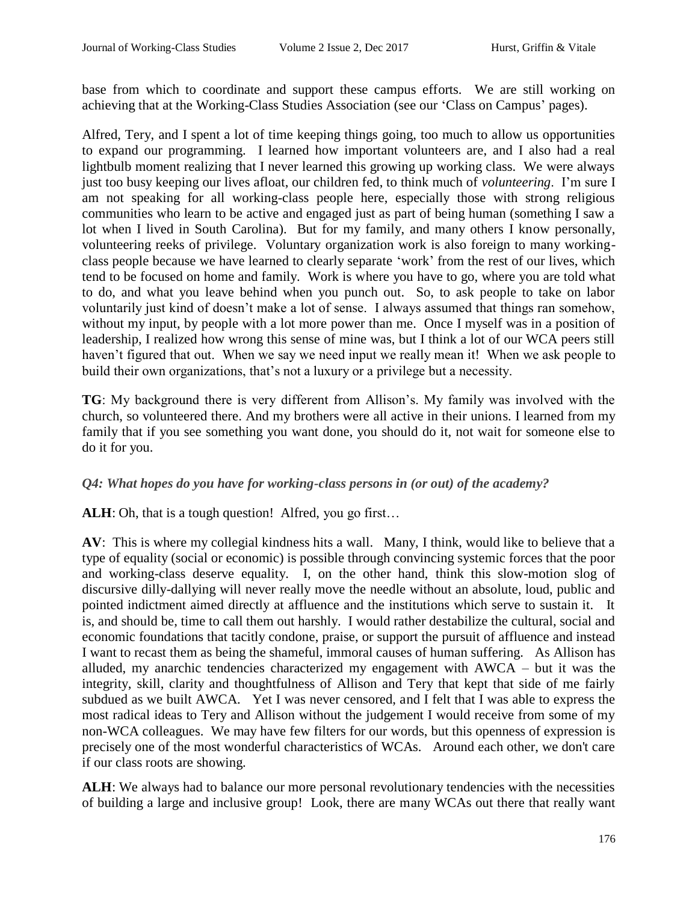base from which to coordinate and support these campus efforts. We are still working on achieving that at the Working-Class Studies Association (see our 'Class on Campus' pages).

Alfred, Tery, and I spent a lot of time keeping things going, too much to allow us opportunities to expand our programming. I learned how important volunteers are, and I also had a real lightbulb moment realizing that I never learned this growing up working class. We were always just too busy keeping our lives afloat, our children fed, to think much of *volunteering*. I'm sure I am not speaking for all working-class people here, especially those with strong religious communities who learn to be active and engaged just as part of being human (something I saw a lot when I lived in South Carolina). But for my family, and many others I know personally, volunteering reeks of privilege. Voluntary organization work is also foreign to many workingclass people because we have learned to clearly separate 'work' from the rest of our lives, which tend to be focused on home and family. Work is where you have to go, where you are told what to do, and what you leave behind when you punch out. So, to ask people to take on labor voluntarily just kind of doesn't make a lot of sense. I always assumed that things ran somehow, without my input, by people with a lot more power than me. Once I myself was in a position of leadership, I realized how wrong this sense of mine was, but I think a lot of our WCA peers still haven't figured that out. When we say we need input we really mean it! When we ask people to build their own organizations, that's not a luxury or a privilege but a necessity.

**TG**: My background there is very different from Allison's. My family was involved with the church, so volunteered there. And my brothers were all active in their unions. I learned from my family that if you see something you want done, you should do it, not wait for someone else to do it for you.

# *Q4: What hopes do you have for working-class persons in (or out) of the academy?*

ALH: Oh, that is a tough question! Alfred, you go first...

**AV**: This is where my collegial kindness hits a wall. Many, I think, would like to believe that a type of equality (social or economic) is possible through convincing systemic forces that the poor and working-class deserve equality. I, on the other hand, think this slow-motion slog of discursive dilly-dallying will never really move the needle without an absolute, loud, public and pointed indictment aimed directly at affluence and the institutions which serve to sustain it. It is, and should be, time to call them out harshly. I would rather destabilize the cultural, social and economic foundations that tacitly condone, praise, or support the pursuit of affluence and instead I want to recast them as being the shameful, immoral causes of human suffering. As Allison has alluded, my anarchic tendencies characterized my engagement with AWCA – but it was the integrity, skill, clarity and thoughtfulness of Allison and Tery that kept that side of me fairly subdued as we built AWCA. Yet I was never censored, and I felt that I was able to express the most radical ideas to Tery and Allison without the judgement I would receive from some of my non-WCA colleagues. We may have few filters for our words, but this openness of expression is precisely one of the most wonderful characteristics of WCAs. Around each other, we don't care if our class roots are showing.

ALH: We always had to balance our more personal revolutionary tendencies with the necessities of building a large and inclusive group! Look, there are many WCAs out there that really want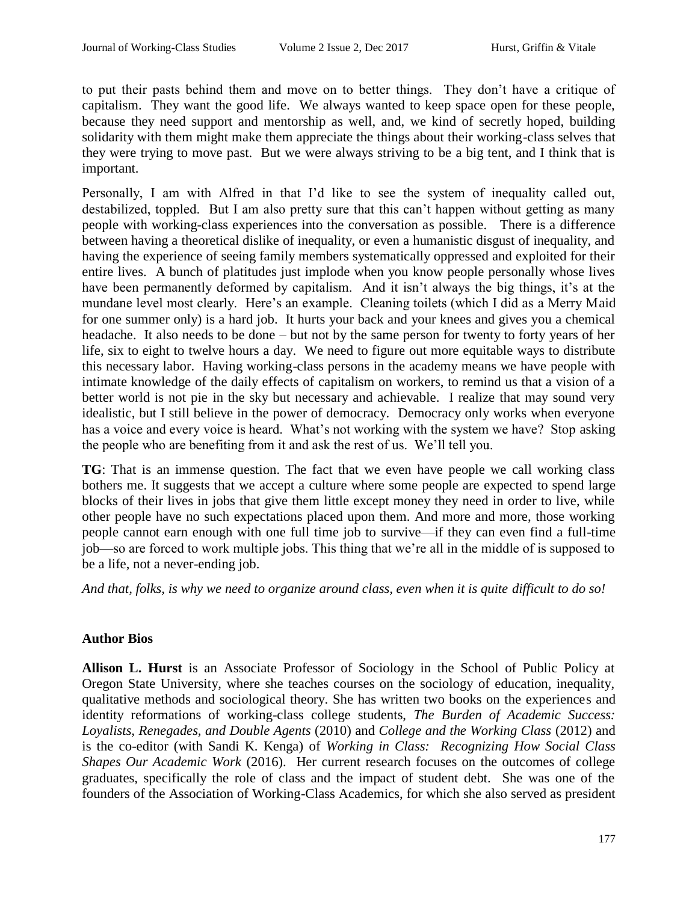to put their pasts behind them and move on to better things. They don't have a critique of capitalism. They want the good life. We always wanted to keep space open for these people, because they need support and mentorship as well, and, we kind of secretly hoped, building solidarity with them might make them appreciate the things about their working-class selves that they were trying to move past. But we were always striving to be a big tent, and I think that is important.

Personally, I am with Alfred in that I'd like to see the system of inequality called out, destabilized, toppled. But I am also pretty sure that this can't happen without getting as many people with working-class experiences into the conversation as possible. There is a difference between having a theoretical dislike of inequality, or even a humanistic disgust of inequality, and having the experience of seeing family members systematically oppressed and exploited for their entire lives. A bunch of platitudes just implode when you know people personally whose lives have been permanently deformed by capitalism. And it isn't always the big things, it's at the mundane level most clearly. Here's an example. Cleaning toilets (which I did as a Merry Maid for one summer only) is a hard job. It hurts your back and your knees and gives you a chemical headache. It also needs to be done – but not by the same person for twenty to forty years of her life, six to eight to twelve hours a day. We need to figure out more equitable ways to distribute this necessary labor. Having working-class persons in the academy means we have people with intimate knowledge of the daily effects of capitalism on workers, to remind us that a vision of a better world is not pie in the sky but necessary and achievable. I realize that may sound very idealistic, but I still believe in the power of democracy. Democracy only works when everyone has a voice and every voice is heard. What's not working with the system we have? Stop asking the people who are benefiting from it and ask the rest of us. We'll tell you.

**TG**: That is an immense question. The fact that we even have people we call working class bothers me. It suggests that we accept a culture where some people are expected to spend large blocks of their lives in jobs that give them little except money they need in order to live, while other people have no such expectations placed upon them. And more and more, those working people cannot earn enough with one full time job to survive—if they can even find a full-time job—so are forced to work multiple jobs. This thing that we're all in the middle of is supposed to be a life, not a never-ending job.

*And that, folks, is why we need to organize around class, even when it is quite difficult to do so!*

# **Author Bios**

**Allison L. Hurst** is an Associate Professor of Sociology in the School of Public Policy at Oregon State University, where she teaches courses on the sociology of education, inequality, qualitative methods and sociological theory. She has written two books on the experiences and identity reformations of working-class college students, *The Burden of Academic Success: Loyalists, Renegades, and Double Agents* (2010) and *College and the Working Class* (2012) and is the co-editor (with Sandi K. Kenga) of *Working in Class: Recognizing How Social Class Shapes Our Academic Work* (2016). Her current research focuses on the outcomes of college graduates, specifically the role of class and the impact of student debt. She was one of the founders of the Association of Working-Class Academics, for which she also served as president